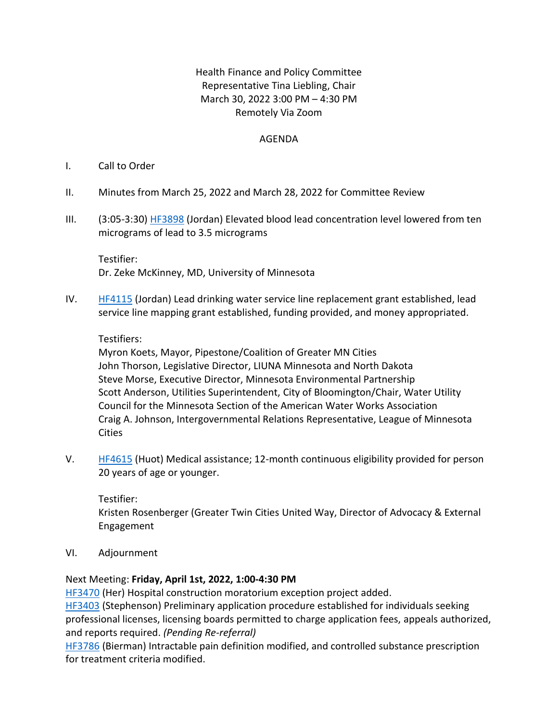# Health Finance and Policy Committee Representative Tina Liebling, Chair March 30, 2022 3:00 PM – 4:30 PM Remotely Via Zoom

## AGENDA

## I. Call to Order

- II. Minutes from March 25, 2022 and March 28, 2022 for Committee Review
- III. (3:05-3:30[\) HF3898](https://www.revisor.mn.gov/bills/bill.php?f=HF3898&b=house&y=2022&ssn=0) (Jordan) Elevated blood lead concentration level lowered from ten micrograms of lead to 3.5 micrograms

Testifier: Dr. Zeke McKinney, MD, University of Minnesota

IV. [HF4115](https://www.revisor.mn.gov/bills/bill.php?f=HF4115&b=house&y=2022&ssn=0) (Jordan) Lead drinking water service line replacement grant established, lead service line mapping grant established, funding provided, and money appropriated.

## Testifiers:

Myron Koets, Mayor, Pipestone/Coalition of Greater MN Cities John Thorson, Legislative Director, LIUNA Minnesota and North Dakota Steve Morse, Executive Director, Minnesota Environmental Partnership Scott Anderson, Utilities Superintendent, City of Bloomington/Chair, Water Utility Council for the Minnesota Section of the American Water Works Association Craig A. Johnson, Intergovernmental Relations Representative, League of Minnesota Cities

V. [HF4615](https://www.revisor.mn.gov/bills/bill.php?f=HF4615&b=house&y=2022&ssn=0) (Huot) Medical assistance; 12-month continuous eligibility provided for person 20 years of age or younger.

Testifier: Kristen Rosenberger (Greater Twin Cities United Way, Director of Advocacy & External Engagement

VI. Adjournment

## Next Meeting: **Friday, April 1st, 2022, 1:00-4:30 PM**

[HF3470](https://www.house.leg.state.mn.us/bills/Information/BillNumber?FileNumber=HF3470) (Her) Hospital construction moratorium exception project added.

[HF3403](https://www.revisor.mn.gov/bills/bill.php?b=House&f=HF3403&ssn=0&y=2022) (Stephenson) Preliminary application procedure established for individuals seeking professional licenses, licensing boards permitted to charge application fees, appeals authorized, and reports required. *(Pending Re-referral)*

[HF3786](https://www.house.leg.state.mn.us/bills/Information/BillNumber?FileNumber=hf3786) (Bierman) Intractable pain definition modified, and controlled substance prescription for treatment criteria modified.